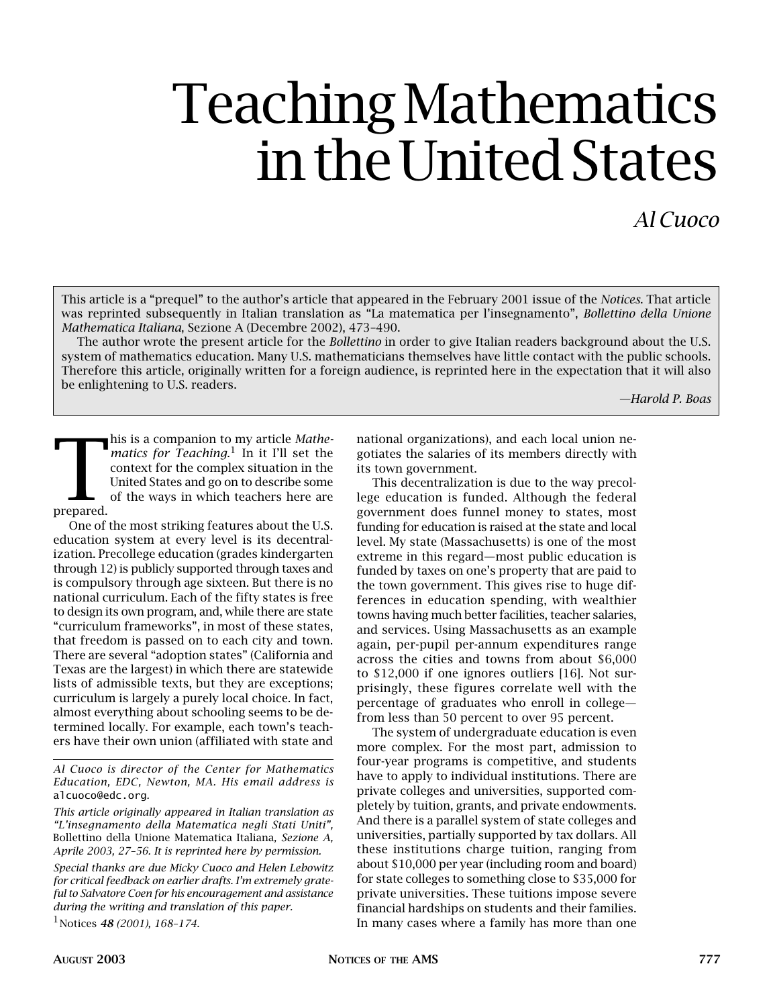# Teaching Mathematics in the United States

## *Al Cuoco*

This article is a "prequel" to the author's article that appeared in the February 2001 issue of the *Notices*. That article was reprinted subsequently in Italian translation as "La matematica per l'insegnamento", *Bollettino della Unione Mathematica Italiana*, Sezione A (Decembre 2002), 473–490.

The author wrote the present article for the *Bollettino* in order to give Italian readers background about the U.S. system of mathematics education. Many U.S. mathematicians themselves have little contact with the public schools. Therefore this article, originally written for a foreign audience, is reprinted here in the expectation that it will also be enlightening to U.S. readers.

*—Harold P. Boas*

**Prepared.** his is a companion to my article *Mathe*matics for Teaching.<sup>1</sup> In it I'll set the context for the complex situation in the United States and go on to describe some of the ways in which teachers here are

One of the most striking features about the U.S. education system at every level is its decentralization. Precollege education (grades kindergarten through 12) is publicly supported through taxes and is compulsory through age sixteen. But there is no national curriculum. Each of the fifty states is free to design its own program, and, while there are state "curriculum frameworks", in most of these states, that freedom is passed on to each city and town. There are several "adoption states" (California and Texas are the largest) in which there are statewide lists of admissible texts, but they are exceptions; curriculum is largely a purely local choice. In fact, almost everything about schooling seems to be determined locally. For example, each town's teachers have their own union (affiliated with state and

*Al Cuoco is director of the Center for Mathematics Education, EDC, Newton, MA. His email address is*  alcuoco@edc.org*.*

*Special thanks are due Micky Cuoco and Helen Lebowitz for critical feedback on earlier drafts. I'm extremely grateful to Salvatore Coen for his encouragement and assistance during the writing and translation of this paper.*

1Notices *48 (2001), 168–174.*

national organizations), and each local union negotiates the salaries of its members directly with its town government.

This decentralization is due to the way precollege education is funded. Although the federal government does funnel money to states, most funding for education is raised at the state and local level. My state (Massachusetts) is one of the most extreme in this regard—most public education is funded by taxes on one's property that are paid to the town government. This gives rise to huge differences in education spending, with wealthier towns having much better facilities, teacher salaries, and services. Using Massachusetts as an example again, per-pupil per-annum expenditures range across the cities and towns from about \$6,000 to \$12,000 if one ignores outliers [16]. Not surprisingly, these figures correlate well with the percentage of graduates who enroll in college from less than 50 percent to over 95 percent.

The system of undergraduate education is even more complex. For the most part, admission to four-year programs is competitive, and students have to apply to individual institutions. There are private colleges and universities, supported completely by tuition, grants, and private endowments. And there is a parallel system of state colleges and universities, partially supported by tax dollars. All these institutions charge tuition, ranging from about \$10,000 per year (including room and board) for state colleges to something close to \$35,000 for private universities. These tuitions impose severe financial hardships on students and their families. In many cases where a family has more than one

*This article originally appeared in Italian translation as "L'insegnamento della Matematica negli Stati Uniti",*  Bollettino della Unione Matematica Italiana*, Sezione A, Aprile 2003, 27–56. It is reprinted here by permission.*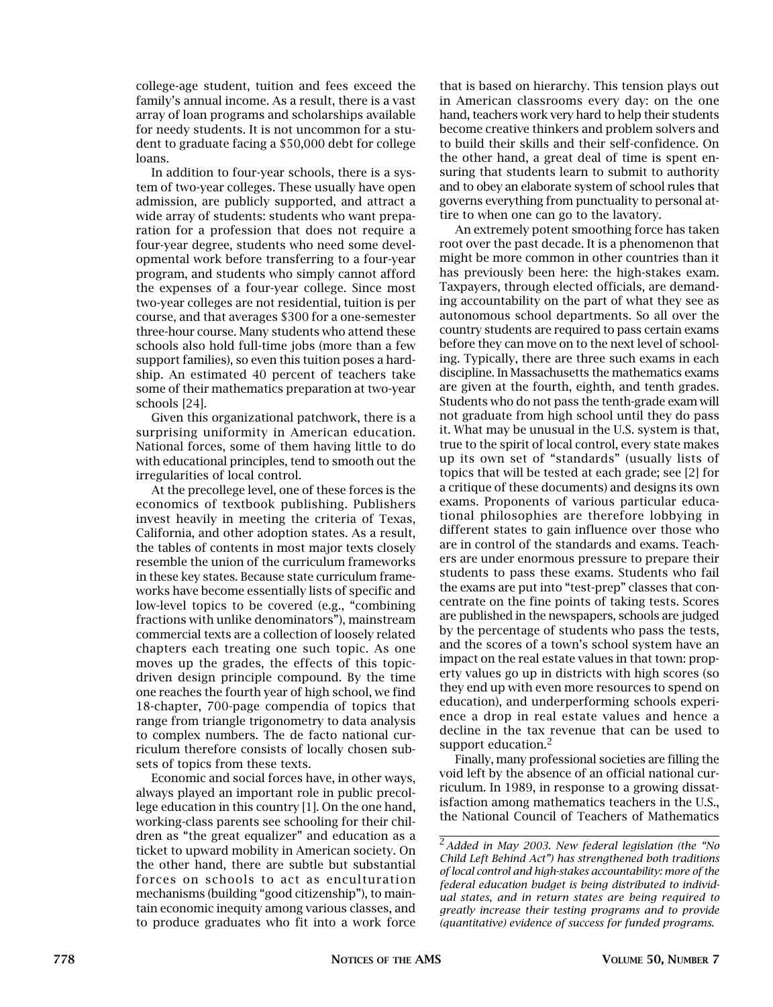college-age student, tuition and fees exceed the family's annual income. As a result, there is a vast array of loan programs and scholarships available for needy students. It is not uncommon for a student to graduate facing a \$50,000 debt for college loans.

In addition to four-year schools, there is a system of two-year colleges. These usually have open admission, are publicly supported, and attract a wide array of students: students who want preparation for a profession that does not require a four-year degree, students who need some developmental work before transferring to a four-year program, and students who simply cannot afford the expenses of a four-year college. Since most two-year colleges are not residential, tuition is per course, and that averages \$300 for a one-semester three-hour course. Many students who attend these schools also hold full-time jobs (more than a few support families), so even this tuition poses a hardship. An estimated 40 percent of teachers take some of their mathematics preparation at two-year schools [24].

Given this organizational patchwork, there is a surprising uniformity in American education. National forces, some of them having little to do with educational principles, tend to smooth out the irregularities of local control.

At the precollege level, one of these forces is the economics of textbook publishing. Publishers invest heavily in meeting the criteria of Texas, California, and other adoption states. As a result, the tables of contents in most major texts closely resemble the union of the curriculum frameworks in these key states. Because state curriculum frameworks have become essentially lists of specific and low-level topics to be covered (e.g., "combining fractions with unlike denominators"), mainstream commercial texts are a collection of loosely related chapters each treating one such topic. As one moves up the grades, the effects of this topicdriven design principle compound. By the time one reaches the fourth year of high school, we find 18-chapter, 700-page compendia of topics that range from triangle trigonometry to data analysis to complex numbers. The de facto national curriculum therefore consists of locally chosen subsets of topics from these texts.

Economic and social forces have, in other ways, always played an important role in public precollege education in this country [1]. On the one hand, working-class parents see schooling for their children as "the great equalizer" and education as a ticket to upward mobility in American society. On the other hand, there are subtle but substantial forces on schools to act as enculturation mechanisms (building "good citizenship"), to maintain economic inequity among various classes, and to produce graduates who fit into a work force

that is based on hierarchy. This tension plays out in American classrooms every day: on the one hand, teachers work very hard to help their students become creative thinkers and problem solvers and to build their skills and their self-confidence. On the other hand, a great deal of time is spent ensuring that students learn to submit to authority and to obey an elaborate system of school rules that governs everything from punctuality to personal attire to when one can go to the lavatory.

An extremely potent smoothing force has taken root over the past decade. It is a phenomenon that might be more common in other countries than it has previously been here: the high-stakes exam. Taxpayers, through elected officials, are demanding accountability on the part of what they see as autonomous school departments. So all over the country students are required to pass certain exams before they can move on to the next level of schooling. Typically, there are three such exams in each discipline. In Massachusetts the mathematics exams are given at the fourth, eighth, and tenth grades. Students who do not pass the tenth-grade exam will not graduate from high school until they do pass it. What may be unusual in the U.S. system is that, true to the spirit of local control, every state makes up its own set of "standards" (usually lists of topics that will be tested at each grade; see [2] for a critique of these documents) and designs its own exams. Proponents of various particular educational philosophies are therefore lobbying in different states to gain influence over those who are in control of the standards and exams. Teachers are under enormous pressure to prepare their students to pass these exams. Students who fail the exams are put into "test-prep" classes that concentrate on the fine points of taking tests. Scores are published in the newspapers, schools are judged by the percentage of students who pass the tests, and the scores of a town's school system have an impact on the real estate values in that town: property values go up in districts with high scores (so they end up with even more resources to spend on education), and underperforming schools experience a drop in real estate values and hence a decline in the tax revenue that can be used to support education.<sup>2</sup>

Finally, many professional societies are filling the void left by the absence of an official national curriculum. In 1989, in response to a growing dissatisfaction among mathematics teachers in the U.S., the National Council of Teachers of Mathematics

<sup>2</sup>*Added in May 2003. New federal legislation (the "No Child Left Behind Act") has strengthened both traditions of local control and high-stakes accountability: more of the federal education budget is being distributed to individual states, and in return states are being required to greatly increase their testing programs and to provide (quantitative) evidence of success for funded programs.*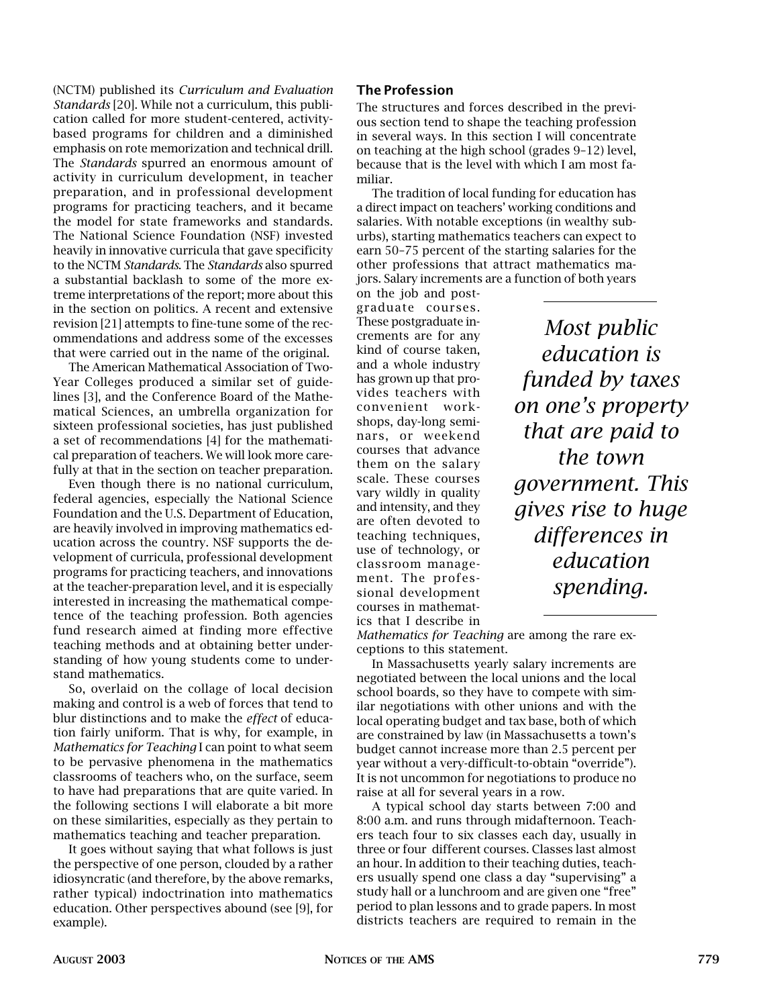(NCTM) published its *Curriculum and Evaluation Standards* [20]. While not a curriculum, this publication called for more student-centered, activitybased programs for children and a diminished emphasis on rote memorization and technical drill. The *Standards* spurred an enormous amount of activity in curriculum development, in teacher preparation, and in professional development programs for practicing teachers, and it became the model for state frameworks and standards. The National Science Foundation (NSF) invested heavily in innovative curricula that gave specificity to the NCTM *Standards*. The *Standards* also spurred a substantial backlash to some of the more extreme interpretations of the report; more about this in the section on politics. A recent and extensive revision [21] attempts to fine-tune some of the recommendations and address some of the excesses that were carried out in the name of the original.

The American Mathematical Association of Two-Year Colleges produced a similar set of guidelines [3], and the Conference Board of the Mathematical Sciences, an umbrella organization for sixteen professional societies, has just published a set of recommendations [4] for the mathematical preparation of teachers. We will look more carefully at that in the section on teacher preparation.

Even though there is no national curriculum, federal agencies, especially the National Science Foundation and the U.S. Department of Education, are heavily involved in improving mathematics education across the country. NSF supports the development of curricula, professional development programs for practicing teachers, and innovations at the teacher-preparation level, and it is especially interested in increasing the mathematical competence of the teaching profession. Both agencies fund research aimed at finding more effective teaching methods and at obtaining better understanding of how young students come to understand mathematics.

So, overlaid on the collage of local decision making and control is a web of forces that tend to blur distinctions and to make the *effect* of education fairly uniform. That is why, for example, in *Mathematics for Teaching* I can point to what seem to be pervasive phenomena in the mathematics classrooms of teachers who, on the surface, seem to have had preparations that are quite varied. In the following sections I will elaborate a bit more on these similarities, especially as they pertain to mathematics teaching and teacher preparation.

It goes without saying that what follows is just the perspective of one person, clouded by a rather idiosyncratic (and therefore, by the above remarks, rather typical) indoctrination into mathematics education. Other perspectives abound (see [9], for example).

#### The Profession

The structures and forces described in the previous section tend to shape the teaching profession in several ways. In this section I will concentrate on teaching at the high school (grades 9–12) level, because that is the level with which I am most familiar.

The tradition of local funding for education has a direct impact on teachers' working conditions and salaries. With notable exceptions (in wealthy suburbs), starting mathematics teachers can expect to earn 50–75 percent of the starting salaries for the other professions that attract mathematics majors. Salary increments are a function of both years

on the job and postgraduate courses. These postgraduate increments are for any kind of course taken, and a whole industry has grown up that provides teachers with convenient workshops, day-long seminars, or weekend courses that advance them on the salary scale. These courses vary wildly in quality and intensity, and they are often devoted to teaching techniques, use of technology, or classroom management. The professional development courses in mathematics that I describe in

*Most public education is funded by taxes on one's property that are paid to the town government. This gives rise to huge differences in education spending.*

*Mathematics for Teaching* are among the rare exceptions to this statement.

In Massachusetts yearly salary increments are negotiated between the local unions and the local school boards, so they have to compete with similar negotiations with other unions and with the local operating budget and tax base, both of which are constrained by law (in Massachusetts a town's budget cannot increase more than 2.5 percent per year without a very-difficult-to-obtain "override"). It is not uncommon for negotiations to produce no raise at all for several years in a row.

A typical school day starts between 7:00 and 8:00 a.m. and runs through midafternoon. Teachers teach four to six classes each day, usually in three or four different courses. Classes last almost an hour. In addition to their teaching duties, teachers usually spend one class a day "supervising" a study hall or a lunchroom and are given one "free" period to plan lessons and to grade papers. In most districts teachers are required to remain in the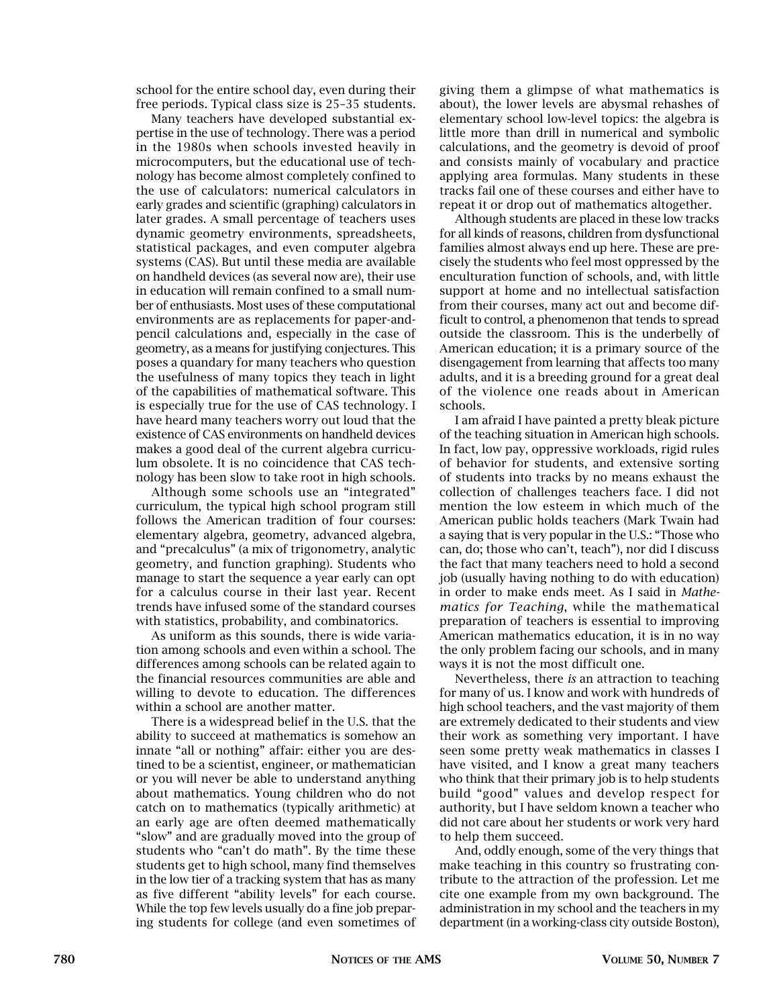school for the entire school day, even during their free periods. Typical class size is 25–35 students.

Many teachers have developed substantial expertise in the use of technology. There was a period in the 1980s when schools invested heavily in microcomputers, but the educational use of technology has become almost completely confined to the use of calculators: numerical calculators in early grades and scientific (graphing) calculators in later grades. A small percentage of teachers uses dynamic geometry environments, spreadsheets, statistical packages, and even computer algebra systems (CAS). But until these media are available on handheld devices (as several now are), their use in education will remain confined to a small number of enthusiasts. Most uses of these computational environments are as replacements for paper-andpencil calculations and, especially in the case of geometry, as a means for justifying conjectures. This poses a quandary for many teachers who question the usefulness of many topics they teach in light of the capabilities of mathematical software. This is especially true for the use of CAS technology. I have heard many teachers worry out loud that the existence of CAS environments on handheld devices makes a good deal of the current algebra curriculum obsolete. It is no coincidence that CAS technology has been slow to take root in high schools.

Although some schools use an "integrated" curriculum, the typical high school program still follows the American tradition of four courses: elementary algebra, geometry, advanced algebra, and "precalculus" (a mix of trigonometry, analytic geometry, and function graphing). Students who manage to start the sequence a year early can opt for a calculus course in their last year. Recent trends have infused some of the standard courses with statistics, probability, and combinatorics.

As uniform as this sounds, there is wide variation among schools and even within a school. The differences among schools can be related again to the financial resources communities are able and willing to devote to education. The differences within a school are another matter.

There is a widespread belief in the U.S. that the ability to succeed at mathematics is somehow an innate "all or nothing" affair: either you are destined to be a scientist, engineer, or mathematician or you will never be able to understand anything about mathematics. Young children who do not catch on to mathematics (typically arithmetic) at an early age are often deemed mathematically "slow" and are gradually moved into the group of students who "can't do math". By the time these students get to high school, many find themselves in the low tier of a tracking system that has as many as five different "ability levels" for each course. While the top few levels usually do a fine job preparing students for college (and even sometimes of giving them a glimpse of what mathematics is about), the lower levels are abysmal rehashes of elementary school low-level topics: the algebra is little more than drill in numerical and symbolic calculations, and the geometry is devoid of proof and consists mainly of vocabulary and practice applying area formulas. Many students in these tracks fail one of these courses and either have to repeat it or drop out of mathematics altogether.

Although students are placed in these low tracks for all kinds of reasons, children from dysfunctional families almost always end up here. These are precisely the students who feel most oppressed by the enculturation function of schools, and, with little support at home and no intellectual satisfaction from their courses, many act out and become difficult to control, a phenomenon that tends to spread outside the classroom. This is the underbelly of American education; it is a primary source of the disengagement from learning that affects too many adults, and it is a breeding ground for a great deal of the violence one reads about in American schools.

I am afraid I have painted a pretty bleak picture of the teaching situation in American high schools. In fact, low pay, oppressive workloads, rigid rules of behavior for students, and extensive sorting of students into tracks by no means exhaust the collection of challenges teachers face. I did not mention the low esteem in which much of the American public holds teachers (Mark Twain had a saying that is very popular in the U.S.: "Those who can, do; those who can't, teach"), nor did I discuss the fact that many teachers need to hold a second job (usually having nothing to do with education) in order to make ends meet. As I said in *Mathematics for Teaching*, while the mathematical preparation of teachers is essential to improving American mathematics education, it is in no way the only problem facing our schools, and in many ways it is not the most difficult one.

Nevertheless, there *is* an attraction to teaching for many of us. I know and work with hundreds of high school teachers, and the vast majority of them are extremely dedicated to their students and view their work as something very important. I have seen some pretty weak mathematics in classes I have visited, and I know a great many teachers who think that their primary job is to help students build "good" values and develop respect for authority, but I have seldom known a teacher who did not care about her students or work very hard to help them succeed.

And, oddly enough, some of the very things that make teaching in this country so frustrating contribute to the attraction of the profession. Let me cite one example from my own background. The administration in my school and the teachers in my department (in a working-class city outside Boston),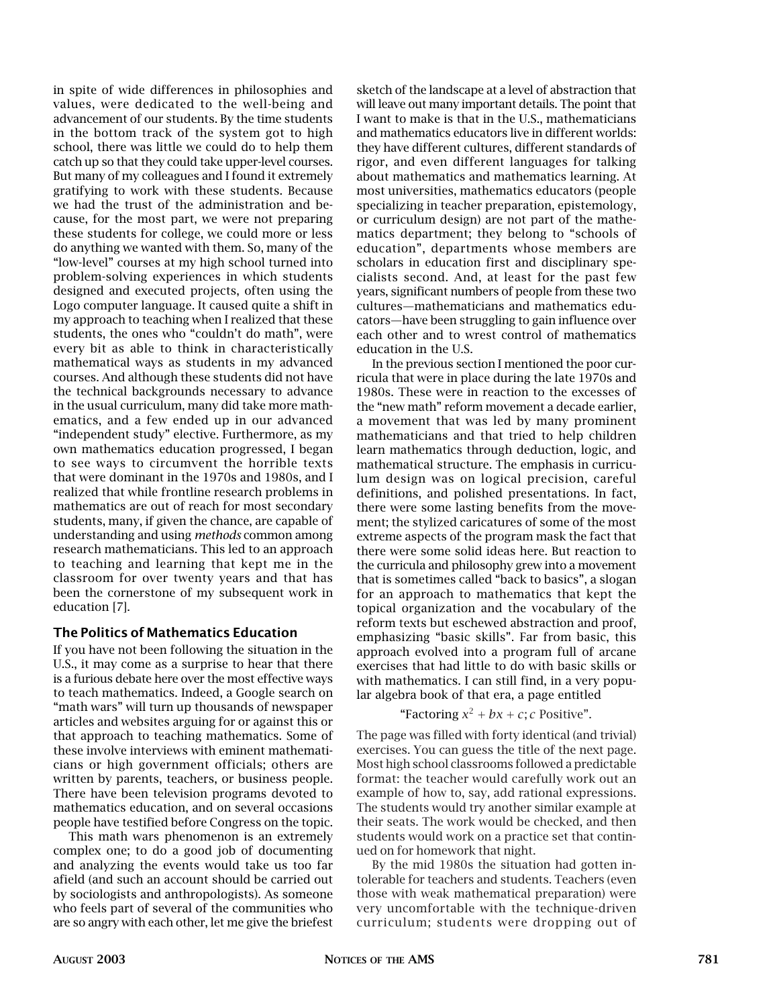in spite of wide differences in philosophies and values, were dedicated to the well-being and advancement of our students. By the time students in the bottom track of the system got to high school, there was little we could do to help them catch up so that they could take upper-level courses. But many of my colleagues and I found it extremely gratifying to work with these students. Because we had the trust of the administration and because, for the most part, we were not preparing these students for college, we could more or less do anything we wanted with them. So, many of the "low-level" courses at my high school turned into problem-solving experiences in which students designed and executed projects, often using the Logo computer language. It caused quite a shift in my approach to teaching when I realized that these students, the ones who "couldn't do math", were every bit as able to think in characteristically mathematical ways as students in my advanced courses. And although these students did not have the technical backgrounds necessary to advance in the usual curriculum, many did take more mathematics, and a few ended up in our advanced "independent study" elective. Furthermore, as my own mathematics education progressed, I began to see ways to circumvent the horrible texts that were dominant in the 1970s and 1980s, and I realized that while frontline research problems in mathematics are out of reach for most secondary students, many, if given the chance, are capable of understanding and using *methods* common among research mathematicians. This led to an approach to teaching and learning that kept me in the classroom for over twenty years and that has been the cornerstone of my subsequent work in education [7].

#### The Politics of Mathematics Education

If you have not been following the situation in the U.S., it may come as a surprise to hear that there is a furious debate here over the most effective ways to teach mathematics. Indeed, a Google search on "math wars" will turn up thousands of newspaper articles and websites arguing for or against this or that approach to teaching mathematics. Some of these involve interviews with eminent mathematicians or high government officials; others are written by parents, teachers, or business people. There have been television programs devoted to mathematics education, and on several occasions people have testified before Congress on the topic.

This math wars phenomenon is an extremely complex one; to do a good job of documenting and analyzing the events would take us too far afield (and such an account should be carried out by sociologists and anthropologists). As someone who feels part of several of the communities who are so angry with each other, let me give the briefest sketch of the landscape at a level of abstraction that will leave out many important details. The point that I want to make is that in the U.S., mathematicians and mathematics educators live in different worlds: they have different cultures, different standards of rigor, and even different languages for talking about mathematics and mathematics learning. At most universities, mathematics educators (people specializing in teacher preparation, epistemology, or curriculum design) are not part of the mathematics department; they belong to "schools of education", departments whose members are scholars in education first and disciplinary specialists second. And, at least for the past few years, significant numbers of people from these two cultures—mathematicians and mathematics educators—have been struggling to gain influence over each other and to wrest control of mathematics education in the U.S.

In the previous section I mentioned the poor curricula that were in place during the late 1970s and 1980s. These were in reaction to the excesses of the "new math" reform movement a decade earlier, a movement that was led by many prominent mathematicians and that tried to help children learn mathematics through deduction, logic, and mathematical structure. The emphasis in curriculum design was on logical precision, careful definitions, and polished presentations. In fact, there were some lasting benefits from the movement; the stylized caricatures of some of the most extreme aspects of the program mask the fact that there were some solid ideas here. But reaction to the curricula and philosophy grew into a movement that is sometimes called "back to basics", a slogan for an approach to mathematics that kept the topical organization and the vocabulary of the reform texts but eschewed abstraction and proof, emphasizing "basic skills". Far from basic, this approach evolved into a program full of arcane exercises that had little to do with basic skills or with mathematics. I can still find, in a very popular algebra book of that era, a page entitled

"Factoring 
$$
x^2 + bx + c
$$
; *c* Positive".

The page was filled with forty identical (and trivial) exercises. You can guess the title of the next page. Most high school classrooms followed a predictable format: the teacher would carefully work out an example of how to, say, add rational expressions. The students would try another similar example at their seats. The work would be checked, and then students would work on a practice set that continued on for homework that night.

By the mid 1980s the situation had gotten intolerable for teachers and students. Teachers (even those with weak mathematical preparation) were very uncomfortable with the technique-driven curriculum; students were dropping out of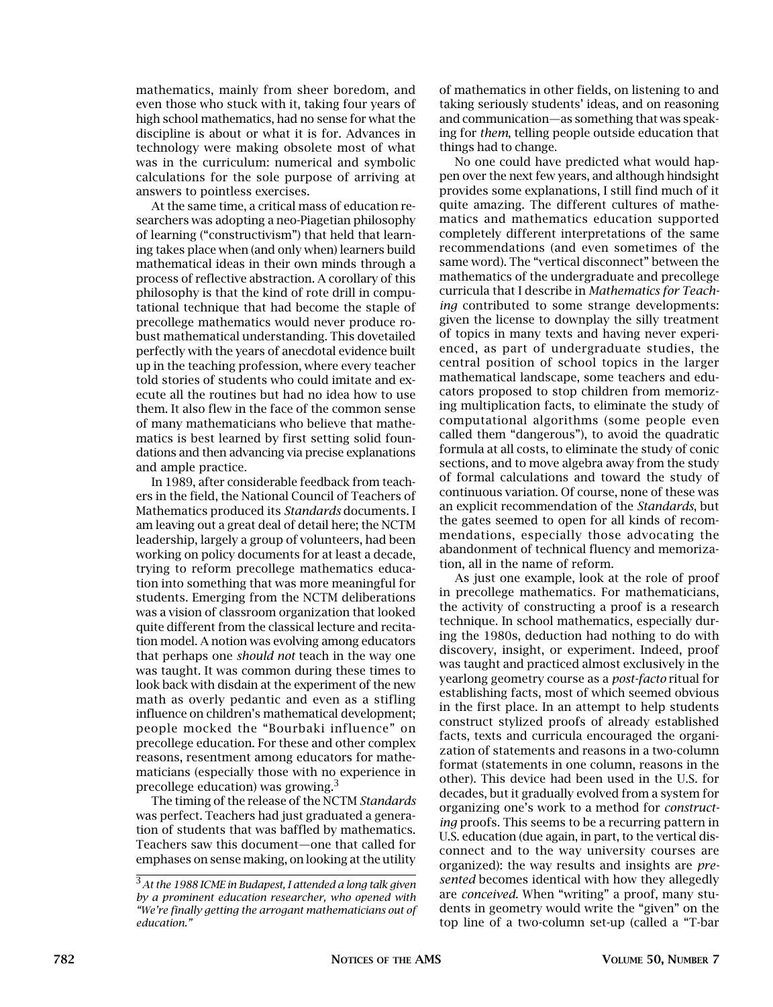mathematics, mainly from sheer boredom, and even those who stuck with it, taking four years of high school mathematics, had no sense for what the discipline is about or what it is for. Advances in technology were making obsolete most of what was in the curriculum: numerical and symbolic calculations for the sole purpose of arriving at answers to pointless exercises.

At the same time, a critical mass of education researchers was adopting a neo-Piagetian philosophy of learning ("constructivism") that held that learning takes place when (and only when) learners build mathematical ideas in their own minds through a process of reflective abstraction. A corollary of this philosophy is that the kind of rote drill in computational technique that had become the staple of precollege mathematics would never produce robust mathematical understanding. This dovetailed perfectly with the years of anecdotal evidence built up in the teaching profession, where every teacher told stories of students who could imitate and execute all the routines but had no idea how to use them. It also flew in the face of the common sense of many mathematicians who believe that mathematics is best learned by first setting solid foundations and then advancing via precise explanations and ample practice.

In 1989, after considerable feedback from teachers in the field, the National Council of Teachers of Mathematics produced its *Standards* documents. I am leaving out a great deal of detail here; the NCTM leadership, largely a group of volunteers, had been working on policy documents for at least a decade, trying to reform precollege mathematics education into something that was more meaningful for students. Emerging from the NCTM deliberations was a vision of classroom organization that looked quite different from the classical lecture and recitation model. A notion was evolving among educators that perhaps one *should not* teach in the way one was taught. It was common during these times to look back with disdain at the experiment of the new math as overly pedantic and even as a stifling influence on children's mathematical development; people mocked the "Bourbaki influence" on precollege education. For these and other complex reasons, resentment among educators for mathematicians (especially those with no experience in precollege education) was growing.3

The timing of the release of the NCTM *Standards* was perfect. Teachers had just graduated a generation of students that was baffled by mathematics. Teachers saw this document—one that called for emphases on sense making, on looking at the utility

of mathematics in other fields, on listening to and taking seriously students' ideas, and on reasoning and communication—as something that was speaking for *them*, telling people outside education that things had to change.

No one could have predicted what would happen over the next few years, and although hindsight provides some explanations, I still find much of it quite amazing. The different cultures of mathematics and mathematics education supported completely different interpretations of the same recommendations (and even sometimes of the same word). The "vertical disconnect" between the mathematics of the undergraduate and precollege curricula that I describe in *Mathematics for Teaching* contributed to some strange developments: given the license to downplay the silly treatment of topics in many texts and having never experienced, as part of undergraduate studies, the central position of school topics in the larger mathematical landscape, some teachers and educators proposed to stop children from memorizing multiplication facts, to eliminate the study of computational algorithms (some people even called them "dangerous"), to avoid the quadratic formula at all costs, to eliminate the study of conic sections, and to move algebra away from the study of formal calculations and toward the study of continuous variation. Of course, none of these was an explicit recommendation of the *Standards*, but the gates seemed to open for all kinds of recommendations, especially those advocating the abandonment of technical fluency and memorization, all in the name of reform.

As just one example, look at the role of proof in precollege mathematics. For mathematicians, the activity of constructing a proof is a research technique. In school mathematics, especially during the 1980s, deduction had nothing to do with discovery, insight, or experiment. Indeed, proof was taught and practiced almost exclusively in the yearlong geometry course as a *post-facto* ritual for establishing facts, most of which seemed obvious in the first place. In an attempt to help students construct stylized proofs of already established facts, texts and curricula encouraged the organization of statements and reasons in a two-column format (statements in one column, reasons in the other). This device had been used in the U.S. for decades, but it gradually evolved from a system for organizing one's work to a method for *constructing* proofs. This seems to be a recurring pattern in U.S. education (due again, in part, to the vertical disconnect and to the way university courses are organized): the way results and insights are *presented* becomes identical with how they allegedly are *conceived*. When "writing" a proof, many students in geometry would write the "given" on the top line of a two-column set-up (called a "T-bar

<sup>3</sup>*At the 1988 ICME in Budapest, I attended a long talk given by a prominent education researcher, who opened with "We're finally getting the arrogant mathematicians out of education."*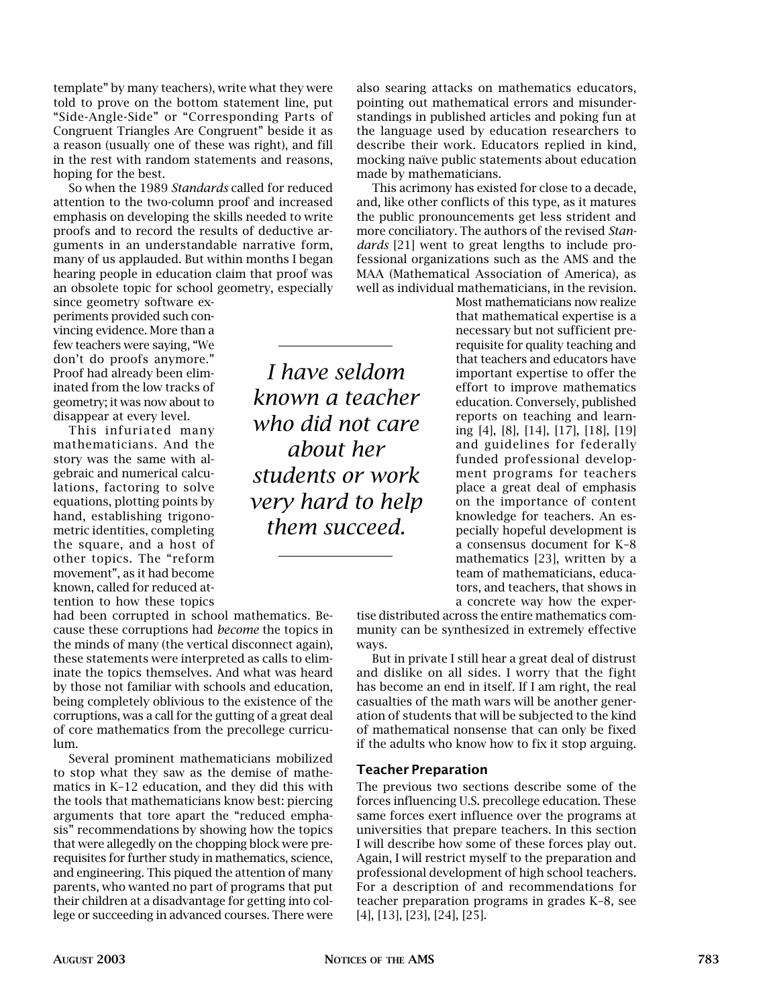template" by many teachers), write what they were told to prove on the bottom statement line, put "Side-Angle-Side" or "Corresponding Parts of Congruent Triangles Are Congruent" beside it as a reason (usually one of these was right), and fill in the rest with random statements and reasons, hoping for the best.

So when the 1989 *Standards* called for reduced attention to the two-column proof and increased emphasis on developing the skills needed to write proofs and to record the results of deductive arguments in an understandable narrative form, many of us applauded. But within months I began hearing people in education claim that proof was an obsolete topic for school geometry, especially

since geometry software experiments provided such convincing evidence. More than a few teachers were saying, "We don't do proofs anymore." Proof had already been eliminated from the low tracks of geometry; it was now about to disappear at every level.

This infuriated many mathematicians. And the story was the same with algebraic and numerical calculations, factoring to solve equations, plotting points by hand, establishing trigonometric identities, completing the square, and a host of other topics. The "reform movement", as it had become known, called for reduced attention to how these topics

had been corrupted in school mathematics. Because these corruptions had *become* the topics in the minds of many (the vertical disconnect again), these statements were interpreted as calls to eliminate the topics themselves. And what was heard by those not familiar with schools and education, being completely oblivious to the existence of the corruptions, was a call for the gutting of a great deal of core mathematics from the precollege curriculum.

Several prominent mathematicians mobilized to stop what they saw as the demise of mathematics in K–12 education, and they did this with the tools that mathematicians know best: piercing arguments that tore apart the "reduced emphasis" recommendations by showing how the topics that were allegedly on the chopping block were prerequisites for further study in mathematics, science, and engineering. This piqued the attention of many parents, who wanted no part of programs that put their children at a disadvantage for getting into college or succeeding in advanced courses. There were

*I have seldom known a teacher who did not care about her students or work very hard to help them succeed.*

also searing attacks on mathematics educators, pointing out mathematical errors and misunderstandings in published articles and poking fun at the language used by education researchers to describe their work. Educators replied in kind, mocking naïve public statements about education made by mathematicians.

This acrimony has existed for close to a decade, and, like other conflicts of this type, as it matures the public pronouncements get less strident and more conciliatory. The authors of the revised *Standards* [21] went to great lengths to include professional organizations such as the AMS and the MAA (Mathematical Association of America), as well as individual mathematicians, in the revision.

> Most mathematicians now realize that mathematical expertise is a necessary but not sufficient prerequisite for quality teaching and that teachers and educators have important expertise to offer the effort to improve mathematics education. Conversely, published reports on teaching and learning [4], [8], [14], [17], [18], [19] and guidelines for federally funded professional development programs for teachers place a great deal of emphasis on the importance of content knowledge for teachers. An especially hopeful development is a consensus document for K–8 mathematics [23], written by a team of mathematicians, educators, and teachers, that shows in a concrete way how the exper-

tise distributed across the entire mathematics community can be synthesized in extremely effective ways.

But in private I still hear a great deal of distrust and dislike on all sides. I worry that the fight has become an end in itself. If I am right, the real casualties of the math wars will be another generation of students that will be subjected to the kind of mathematical nonsense that can only be fixed if the adults who know how to fix it stop arguing.

#### Teacher Preparation

The previous two sections describe some of the forces influencing U.S. precollege education. These same forces exert influence over the programs at universities that prepare teachers. In this section I will describe how some of these forces play out. Again, I will restrict myself to the preparation and professional development of high school teachers. For a description of and recommendations for teacher preparation programs in grades K–8, see [4], [13], [23], [24], [25].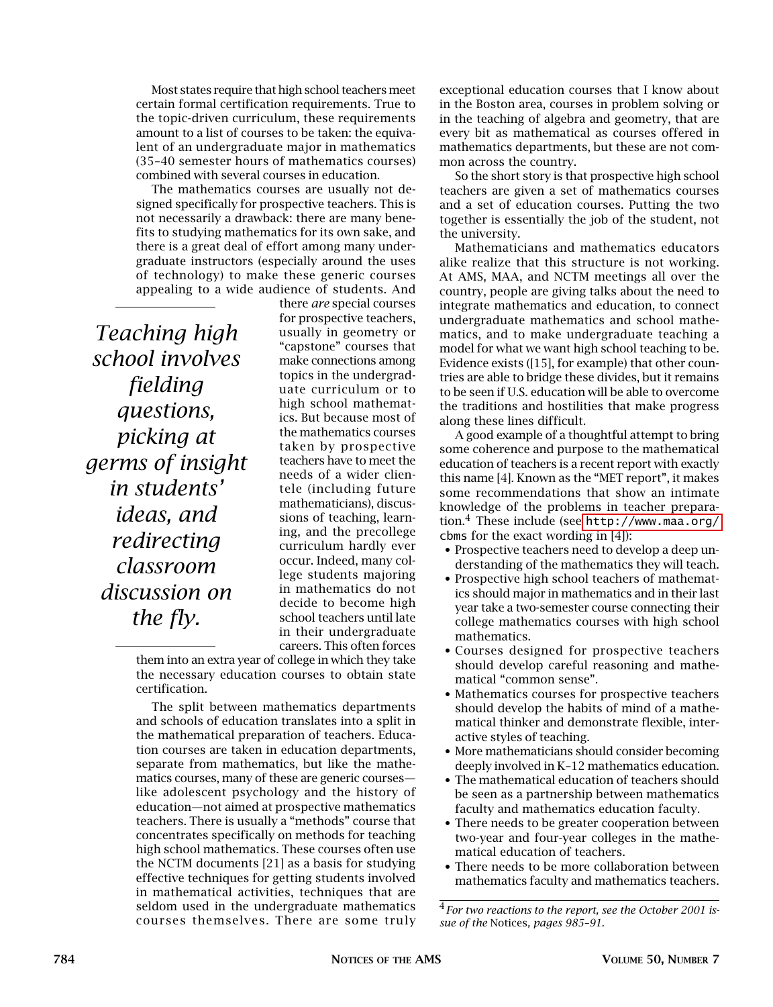Most states require that high school teachers meet certain formal certification requirements. True to the topic-driven curriculum, these requirements amount to a list of courses to be taken: the equivalent of an undergraduate major in mathematics (35–40 semester hours of mathematics courses) combined with several courses in education.

The mathematics courses are usually not designed specifically for prospective teachers. This is not necessarily a drawback: there are many benefits to studying mathematics for its own sake, and there is a great deal of effort among many undergraduate instructors (especially around the uses of technology) to make these generic courses appealing to a wide audience of students. And

*Teaching high school involves fielding questions, picking at germs of insight in students' ideas, and redirecting classroom discussion on the fly.*

there *are* special courses for prospective teachers, usually in geometry or "capstone" courses that make connections among topics in the undergraduate curriculum or to high school mathematics. But because most of the mathematics courses taken by prospective teachers have to meet the needs of a wider clientele (including future mathematicians), discussions of teaching, learning, and the precollege curriculum hardly ever occur. Indeed, many college students majoring in mathematics do not decide to become high school teachers until late in their undergraduate careers. This often forces

them into an extra year of college in which they take the necessary education courses to obtain state certification.

The split between mathematics departments and schools of education translates into a split in the mathematical preparation of teachers. Education courses are taken in education departments, separate from mathematics, but like the mathematics courses, many of these are generic courses like adolescent psychology and the history of education—not aimed at prospective mathematics teachers. There is usually a "methods" course that concentrates specifically on methods for teaching high school mathematics. These courses often use the NCTM documents [21] as a basis for studying effective techniques for getting students involved in mathematical activities, techniques that are seldom used in the undergraduate mathematics courses themselves. There are some truly

exceptional education courses that I know about in the Boston area, courses in problem solving or in the teaching of algebra and geometry, that are every bit as mathematical as courses offered in mathematics departments, but these are not common across the country.

So the short story is that prospective high school teachers are given a set of mathematics courses and a set of education courses. Putting the two together is essentially the job of the student, not the university.

Mathematicians and mathematics educators alike realize that this structure is not working. At AMS, MAA, and NCTM meetings all over the country, people are giving talks about the need to integrate mathematics and education, to connect undergraduate mathematics and school mathematics, and to make undergraduate teaching a model for what we want high school teaching to be. Evidence exists ([15], for example) that other countries are able to bridge these divides, but it remains to be seen if U.S. education will be able to overcome the traditions and hostilities that make progress along these lines difficult.

A good example of a thoughtful attempt to bring some coherence and purpose to the mathematical education of teachers is a recent report with exactly this name [4]. Known as the "MET report", it makes some recommendations that show an intimate knowledge of the problems in teacher preparation.4 These include (see <http://www.maa.org/> cbms for the exact wording in [4]):

- Prospective teachers need to develop a deep understanding of the mathematics they will teach.
- Prospective high school teachers of mathematics should major in mathematics and in their last year take a two-semester course connecting their college mathematics courses with high school mathematics.
- Courses designed for prospective teachers should develop careful reasoning and mathematical "common sense".
- Mathematics courses for prospective teachers should develop the habits of mind of a mathematical thinker and demonstrate flexible, interactive styles of teaching.
- More mathematicians should consider becoming deeply involved in K–12 mathematics education.
- The mathematical education of teachers should be seen as a partnership between mathematics faculty and mathematics education faculty.
- There needs to be greater cooperation between two-year and four-year colleges in the mathematical education of teachers.
- There needs to be more collaboration between mathematics faculty and mathematics teachers.

<sup>4</sup>*For two reactions to the report, see the October 2001 issue of the* Notices*, pages 985–91.*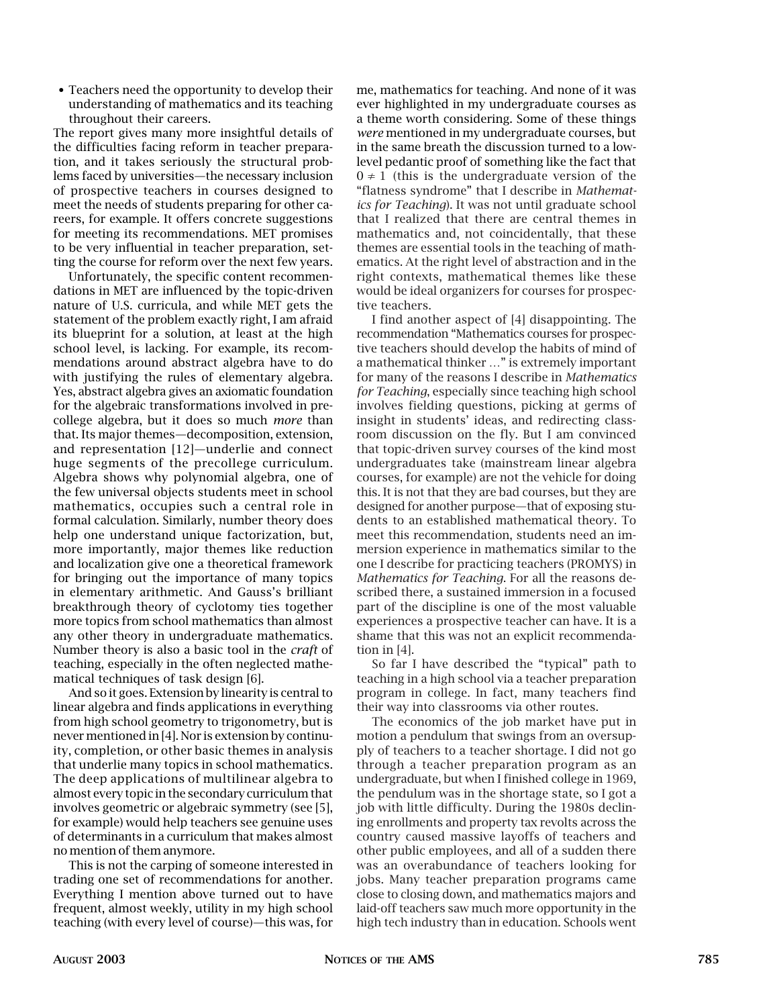• Teachers need the opportunity to develop their understanding of mathematics and its teaching throughout their careers.

The report gives many more insightful details of the difficulties facing reform in teacher preparation, and it takes seriously the structural problems faced by universities—the necessary inclusion of prospective teachers in courses designed to meet the needs of students preparing for other careers, for example. It offers concrete suggestions for meeting its recommendations. MET promises to be very influential in teacher preparation, setting the course for reform over the next few years.

Unfortunately, the specific content recommendations in MET are influenced by the topic-driven nature of U.S. curricula, and while MET gets the statement of the problem exactly right, I am afraid its blueprint for a solution, at least at the high school level, is lacking. For example, its recommendations around abstract algebra have to do with justifying the rules of elementary algebra. Yes, abstract algebra gives an axiomatic foundation for the algebraic transformations involved in precollege algebra, but it does so much *more* than that. Its major themes—decomposition, extension, and representation [12]—underlie and connect huge segments of the precollege curriculum. Algebra shows why polynomial algebra, one of the few universal objects students meet in school mathematics, occupies such a central role in formal calculation. Similarly, number theory does help one understand unique factorization, but, more importantly, major themes like reduction and localization give one a theoretical framework for bringing out the importance of many topics in elementary arithmetic. And Gauss's brilliant breakthrough theory of cyclotomy ties together more topics from school mathematics than almost any other theory in undergraduate mathematics. Number theory is also a basic tool in the *craft* of teaching, especially in the often neglected mathematical techniques of task design [6].

And so it goes. Extension by linearity is central to linear algebra and finds applications in everything from high school geometry to trigonometry, but is never mentioned in [4]. Nor is extension by continuity, completion, or other basic themes in analysis that underlie many topics in school mathematics. The deep applications of multilinear algebra to almost every topic in the secondary curriculum that involves geometric or algebraic symmetry (see [5], for example) would help teachers see genuine uses of determinants in a curriculum that makes almost no mention of them anymore.

This is not the carping of someone interested in trading one set of recommendations for another. Everything I mention above turned out to have frequent, almost weekly, utility in my high school teaching (with every level of course)—this was, for me, mathematics for teaching. And none of it was ever highlighted in my undergraduate courses as a theme worth considering. Some of these things *were* mentioned in my undergraduate courses, but in the same breath the discussion turned to a lowlevel pedantic proof of something like the fact that  $0 \neq 1$  (this is the undergraduate version of the "flatness syndrome" that I describe in *Mathematics for Teaching*). It was not until graduate school that I realized that there are central themes in mathematics and, not coincidentally, that these themes are essential tools in the teaching of mathematics. At the right level of abstraction and in the right contexts, mathematical themes like these would be ideal organizers for courses for prospective teachers.

I find another aspect of [4] disappointing. The recommendation "Mathematics courses for prospective teachers should develop the habits of mind of a mathematical thinker …" is extremely important for many of the reasons I describe in *Mathematics for Teaching*, especially since teaching high school involves fielding questions, picking at germs of insight in students' ideas, and redirecting classroom discussion on the fly. But I am convinced that topic-driven survey courses of the kind most undergraduates take (mainstream linear algebra courses, for example) are not the vehicle for doing this. It is not that they are bad courses, but they are designed for another purpose—that of exposing students to an established mathematical theory. To meet this recommendation, students need an immersion experience in mathematics similar to the one I describe for practicing teachers (PROMYS) in *Mathematics for Teaching*. For all the reasons described there, a sustained immersion in a focused part of the discipline is one of the most valuable experiences a prospective teacher can have. It is a shame that this was not an explicit recommendation in [4].

So far I have described the "typical" path to teaching in a high school via a teacher preparation program in college. In fact, many teachers find their way into classrooms via other routes.

The economics of the job market have put in motion a pendulum that swings from an oversupply of teachers to a teacher shortage. I did not go through a teacher preparation program as an undergraduate, but when I finished college in 1969, the pendulum was in the shortage state, so I got a job with little difficulty. During the 1980s declining enrollments and property tax revolts across the country caused massive layoffs of teachers and other public employees, and all of a sudden there was an overabundance of teachers looking for jobs. Many teacher preparation programs came close to closing down, and mathematics majors and laid-off teachers saw much more opportunity in the high tech industry than in education. Schools went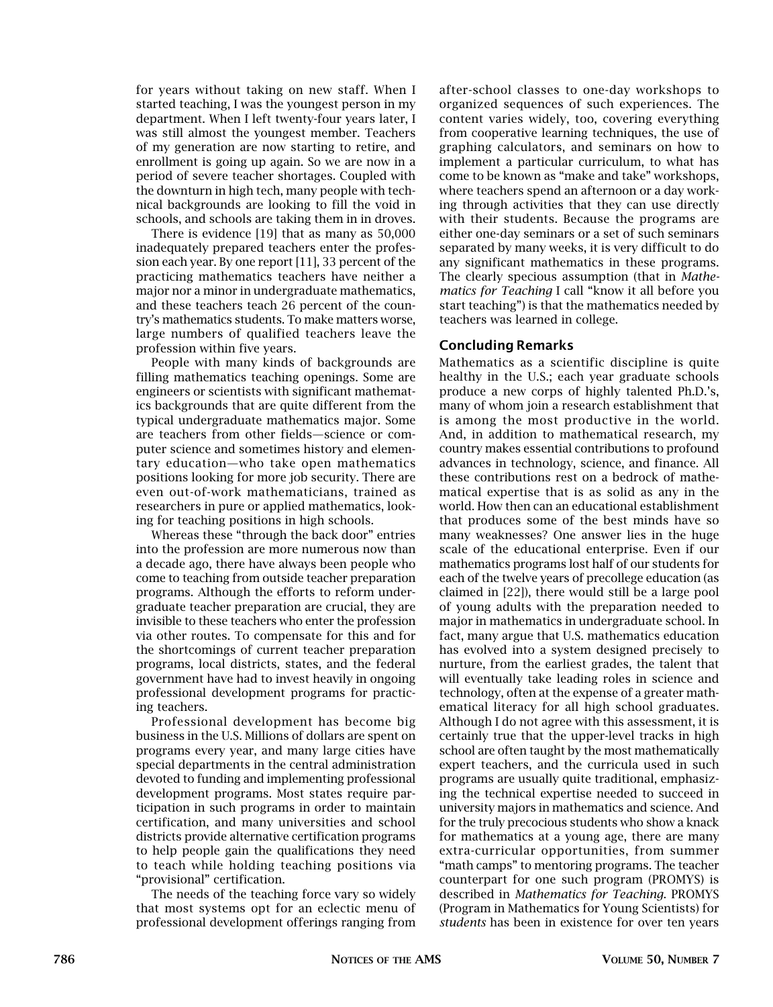for years without taking on new staff. When I started teaching, I was the youngest person in my department. When I left twenty-four years later, I was still almost the youngest member. Teachers of my generation are now starting to retire, and enrollment is going up again. So we are now in a period of severe teacher shortages. Coupled with the downturn in high tech, many people with technical backgrounds are looking to fill the void in schools, and schools are taking them in in droves.

There is evidence [19] that as many as 50,000 inadequately prepared teachers enter the profession each year. By one report [11], 33 percent of the practicing mathematics teachers have neither a major nor a minor in undergraduate mathematics, and these teachers teach 26 percent of the country's mathematics students. To make matters worse, large numbers of qualified teachers leave the profession within five years.

People with many kinds of backgrounds are filling mathematics teaching openings. Some are engineers or scientists with significant mathematics backgrounds that are quite different from the typical undergraduate mathematics major. Some are teachers from other fields—science or computer science and sometimes history and elementary education—who take open mathematics positions looking for more job security. There are even out-of-work mathematicians, trained as researchers in pure or applied mathematics, looking for teaching positions in high schools.

Whereas these "through the back door" entries into the profession are more numerous now than a decade ago, there have always been people who come to teaching from outside teacher preparation programs. Although the efforts to reform undergraduate teacher preparation are crucial, they are invisible to these teachers who enter the profession via other routes. To compensate for this and for the shortcomings of current teacher preparation programs, local districts, states, and the federal government have had to invest heavily in ongoing professional development programs for practicing teachers.

Professional development has become big business in the U.S. Millions of dollars are spent on programs every year, and many large cities have special departments in the central administration devoted to funding and implementing professional development programs. Most states require participation in such programs in order to maintain certification, and many universities and school districts provide alternative certification programs to help people gain the qualifications they need to teach while holding teaching positions via "provisional" certification.

The needs of the teaching force vary so widely that most systems opt for an eclectic menu of professional development offerings ranging from

after-school classes to one-day workshops to organized sequences of such experiences. The content varies widely, too, covering everything from cooperative learning techniques, the use of graphing calculators, and seminars on how to implement a particular curriculum, to what has come to be known as "make and take" workshops, where teachers spend an afternoon or a day working through activities that they can use directly with their students. Because the programs are either one-day seminars or a set of such seminars separated by many weeks, it is very difficult to do any significant mathematics in these programs. The clearly specious assumption (that in *Mathematics for Teaching* I call "know it all before you start teaching") is that the mathematics needed by teachers was learned in college.

### Concluding Remarks

Mathematics as a scientific discipline is quite healthy in the U.S.; each year graduate schools produce a new corps of highly talented Ph.D.'s, many of whom join a research establishment that is among the most productive in the world. And, in addition to mathematical research, my country makes essential contributions to profound advances in technology, science, and finance. All these contributions rest on a bedrock of mathematical expertise that is as solid as any in the world. How then can an educational establishment that produces some of the best minds have so many weaknesses? One answer lies in the huge scale of the educational enterprise. Even if our mathematics programs lost half of our students for each of the twelve years of precollege education (as claimed in [22]), there would still be a large pool of young adults with the preparation needed to major in mathematics in undergraduate school. In fact, many argue that U.S. mathematics education has evolved into a system designed precisely to nurture, from the earliest grades, the talent that will eventually take leading roles in science and technology, often at the expense of a greater mathematical literacy for all high school graduates. Although I do not agree with this assessment, it is certainly true that the upper-level tracks in high school are often taught by the most mathematically expert teachers, and the curricula used in such programs are usually quite traditional, emphasizing the technical expertise needed to succeed in university majors in mathematics and science. And for the truly precocious students who show a knack for mathematics at a young age, there are many extra-curricular opportunities, from summer "math camps" to mentoring programs. The teacher counterpart for one such program (PROMYS) is described in *Mathematics for Teaching*. PROMYS (Program in Mathematics for Young Scientists) for *students* has been in existence for over ten years